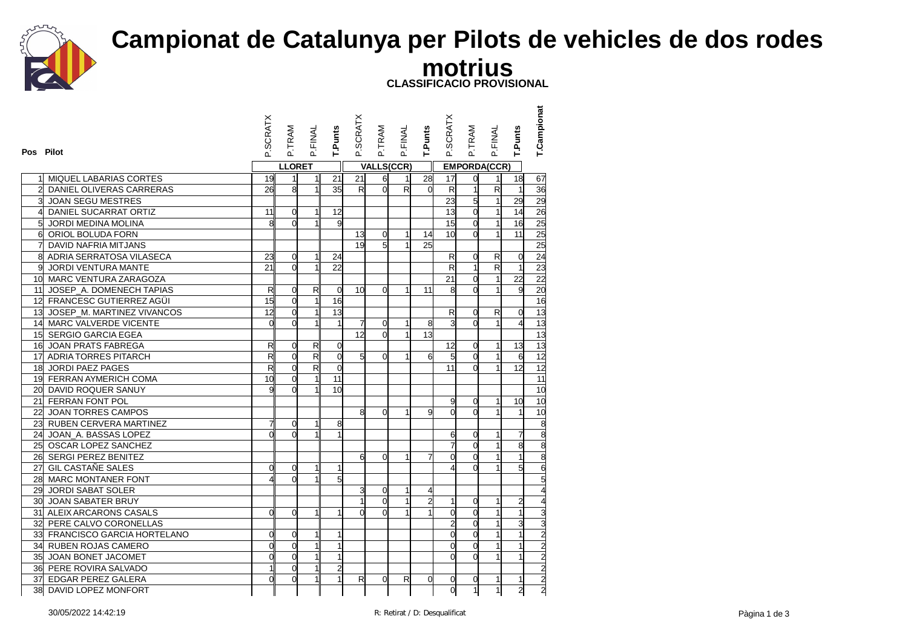

## **Campionat de Catalunya per Pilots de vehicles de dos rodes motrius**

**CLASSIFICACIO PROVISIONAL**

| Pos Pilot      |                               | <b>SCRATX</b>           | P.TRAM         | <b>P.FINAL</b>          | T.Punts        | P.SCRATX        | P.TRAM            | P.FINAL      | T.Punts        | P.SCRATX                | P.TRAM         | P.FINAL                 | T.Punts         | T.Campionat                       |
|----------------|-------------------------------|-------------------------|----------------|-------------------------|----------------|-----------------|-------------------|--------------|----------------|-------------------------|----------------|-------------------------|-----------------|-----------------------------------|
|                |                               |                         | <b>LLORET</b>  |                         |                |                 | <b>VALLS(CCR)</b> |              |                |                         |                | <b>EMPORDA(CCR)</b>     |                 |                                   |
|                | MIQUEL LABARIAS CORTES        | 19                      | $\mathbf{1}$   | 1                       | 21             | 21              | 6                 | 1            | 28             | 17                      | $\overline{0}$ | 1                       | 18              | 67                                |
| $\overline{2}$ | DANIEL OLIVERAS CARRERAS      | 26                      | 8              | 1                       | 35             | $R_{\parallel}$ | $\overline{0}$    | R            | $\Omega$       | $\overline{\mathbf{z}}$ | $\overline{1}$ | $\overline{\mathsf{R}}$ | $\vert$         | 36                                |
|                | <b>JOAN SEGU MESTRES</b>      |                         |                |                         |                |                 |                   |              |                | 23                      | 5              |                         | 29              | 29                                |
| 4              | DANIEL SUCARRAT ORTIZ         | 11                      | $\overline{0}$ | 1                       | 12             |                 |                   |              |                | 13                      | $\overline{0}$ | 1                       | 14              | $\frac{26}{25}$                   |
|                | JORDI MEDINA MOLINA           | 8                       | $\Omega$       | $\mathbf{1}$            | 9              |                 |                   |              |                | 15                      | $\overline{0}$ | $\mathbf{1}$            | 16              |                                   |
|                | 6 ORIOL BOLUDA FORN           |                         |                |                         |                | $\overline{13}$ | $\overline{0}$    | 1            | 14             | 10                      | $\overline{0}$ |                         | 11              | 25                                |
|                | DAVID NAFRIA MITJANS          |                         |                |                         |                | 19              | 5                 | $\mathbf{1}$ | 25             |                         |                |                         |                 | 25                                |
|                | 8 ADRIA SERRATOSA VILASECA    | 23                      | $\overline{0}$ | 1                       | 24             |                 |                   |              |                | R                       | $\overline{0}$ | R                       | $\overline{0}$  | 24                                |
| 9l             | JORDI VENTURA MANTE           | 21                      | $\Omega$       | 1                       | 22             |                 |                   |              |                | $\overline{\mathsf{R}}$ | $\mathbf{1}$   | R                       | $\mathbf{1}$    | 23                                |
|                | 10 MARC VENTURA ZARAGOZA      |                         |                |                         |                |                 |                   |              |                | 21                      | $\overline{0}$ |                         | $\overline{22}$ | $\overline{22}$                   |
|                | 11 JOSEP_A. DOMENECH TAPIAS   | $\mathsf{R}$            | $\overline{0}$ | R                       | $\overline{0}$ | 10 <sub>1</sub> | $\overline{0}$    | $\mathbf{1}$ | 11             | 8                       | $\overline{0}$ |                         | 9               | 20                                |
|                | 12 FRANCESC GUTIERREZ AGÜI    | 15                      | $\mathbf 0$    | $\mathbf{1}$            | 16             |                 |                   |              |                |                         |                |                         |                 | 16                                |
|                | 13 JOSEP M. MARTINEZ VIVANCOS | 12                      | $\overline{0}$ | $\mathbf{1}$            | 13             |                 |                   |              |                | $\mathsf{R}$            | $\overline{0}$ | R                       | $\overline{0}$  | 13                                |
|                | 14 MARC VALVERDE VICENTE      | $\overline{0}$          | $\Omega$       | $\mathbf{1}$            | $\mathbf{1}$   | 7               | $\overline{0}$    | $\mathbf{1}$ | 8              | $\overline{3}$          | $\Omega$       |                         | $\overline{4}$  | 13                                |
|                | 15 SERGIO GARCIA EGEA         |                         |                |                         |                | 12              | $\overline{0}$    | $\mathbf{1}$ | 13             |                         |                |                         |                 | $\frac{13}{13}$                   |
|                | 16 JOAN PRATS FABREGA         | $\mathsf{R}$            | $\overline{0}$ | $\mathsf{R}$            | $\overline{0}$ |                 |                   |              |                | $\overline{12}$         | $\overline{0}$ | $\mathbf{1}$            | 13              |                                   |
|                | 17 ADRIA TORRES PITARCH       | R                       | $\overline{0}$ | $\overline{\mathbf{z}}$ | $\overline{0}$ | 5 <sup>1</sup>  | $\overline{0}$    | $\mathbf{1}$ | 6              | 5                       | $\overline{0}$ | $\mathbf{1}$            | 6               | 12                                |
|                | 18 JORDI PAEZ PAGES           | $\overline{\mathsf{R}}$ | $\overline{0}$ | R                       | $\overline{0}$ |                 |                   |              |                | 11                      | $\Omega$       |                         | 12              | 12                                |
|                | 19 FERRAN AYMERICH COMA       | 10                      | $\overline{0}$ | $\mathbf{1}$            | 11             |                 |                   |              |                |                         |                |                         |                 | 11                                |
|                | 20 DAVID ROQUER SANUY         |                         | $\Omega$       | $\mathbf{1}$            | 10             |                 |                   |              |                |                         |                |                         |                 | 10                                |
|                | 21 FERRAN FONT POL            |                         |                |                         |                |                 |                   |              |                | 9                       | $\overline{0}$ | 1 <sup>1</sup>          | 10              | 10                                |
|                | 22 JOAN TORRES CAMPOS         |                         |                |                         |                | $\mathsf{a}$    | $\Omega$          | 1            | 9              | d                       | $\Omega$       |                         | $\mathbf{1}$    | 10                                |
|                | 23 RUBEN CERVERA MARTINEZ     | 7                       | $\overline{0}$ | $\mathbf{1}$            | 8              |                 |                   |              |                |                         |                |                         |                 |                                   |
|                | 24 JOAN A. BASSAS LOPEZ       | $\Omega$                | $\Omega$       |                         | 1              |                 |                   |              |                | 6                       | $\Omega$       |                         | $\overline{7}$  |                                   |
|                | 25 OSCAR LOPEZ SANCHEZ        |                         |                |                         |                |                 |                   |              |                | 7                       | $\overline{0}$ |                         | 8               |                                   |
|                | 26 SERGI PEREZ BENITEZ        |                         |                |                         |                | $6\%$           | $\Omega$          | $\mathbf{1}$ |                | 0                       | $\Omega$       |                         |                 |                                   |
|                | 27 GIL CASTAÑE SALES          | $\Omega$                | $\overline{0}$ | $\mathbf{1}$            | 1              |                 |                   |              |                | 4                       | $\overline{0}$ |                         | 5               |                                   |
|                | 28 MARC MONTANER FONT         | 4                       | $\Omega$       | $\mathbf{1}$            | 5              |                 |                   |              |                |                         |                |                         |                 |                                   |
|                | 29 JORDI SABAT SOLER          |                         |                |                         |                | 3               | 0                 | $\mathbf{1}$ |                |                         |                |                         |                 |                                   |
|                | <b>30 JOAN SABATER BRUY</b>   |                         |                |                         |                | 1               | $\Omega$          | $\mathbf{1}$ | $\overline{2}$ | 1                       | $\overline{0}$ | $\mathbf{1}$            | $\overline{c}$  |                                   |
|                | 31 ALEIX ARCARONS CASALS      | $\overline{0}$          | $\Omega$       | $\mathbf{1}$            | 1              | ΩI              | $\Omega$          | $\mathbf{1}$ |                | $\overline{0}$          | $\overline{0}$ | $\mathbf{1}$            | $\overline{1}$  |                                   |
|                | 32 PERE CALVO CORONELLAS      |                         |                |                         |                |                 |                   |              |                | 2                       | $\overline{0}$ |                         | 3               |                                   |
|                | 33 FRANCISCO GARCIA HORTELANO | 0                       | $\overline{0}$ | $\mathbf{1}$            | 1              |                 |                   |              |                | O                       | $\overline{0}$ |                         | 1               |                                   |
|                | 34 RUBEN ROJAS CAMERO         | $\Omega$                | $\overline{0}$ | $\mathbf{1}$            | 1              |                 |                   |              |                | O                       | $\Omega$       |                         | 1               |                                   |
|                | 35 JOAN BONET JACOMET         | $\overline{0}$          | $\overline{0}$ | $\mathbf{1}$            | 1              |                 |                   |              |                | $\Omega$                | $\Omega$       |                         |                 |                                   |
|                | 36 PERE ROVIRA SALVADO        |                         | $\Omega$       | $\mathbf{1}$            | $\overline{a}$ |                 |                   |              |                |                         |                |                         |                 |                                   |
|                | 37 EDGAR PEREZ GALERA         | 0                       | $\Omega$       | $\mathbf{1}$            | $\mathbf{1}$   | R               | 0                 | R            | $\Omega$       | 0                       | 0              | 1                       | 1               | <u>نه اما ما ما ما ما ما ما م</u> |
|                | 38 DAVID LOPEZ MONFORT        |                         |                |                         |                |                 |                   |              |                | ď                       | $\overline{1}$ | 1                       | $\overline{2}$  |                                   |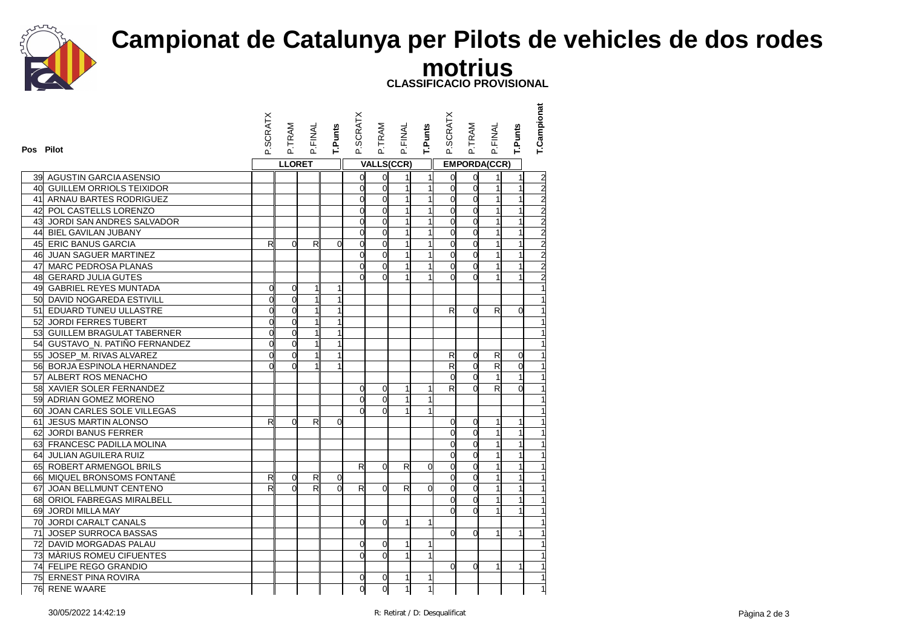

## **Campionat de Catalunya per Pilots de vehicles de dos rodes**

**motrius**

**CLASSIFICACIO PROVISIONAL**

| Pos Pilot                      | P.SCRATX       | P.TRAM         | P.FINAL | <b>T.Punts</b> | P.SCRATX       | P.TRAM         | P.FINAL           | T.Punts      | <b>P.SCRATX</b> | P.TRAM              | P.FINAL                 | T.Punts        | T.Campionat                                |
|--------------------------------|----------------|----------------|---------|----------------|----------------|----------------|-------------------|--------------|-----------------|---------------------|-------------------------|----------------|--------------------------------------------|
|                                |                | <b>LLORET</b>  |         |                |                |                | <b>VALLS(CCR)</b> |              |                 | <b>EMPORDA(CCR)</b> |                         |                |                                            |
| 39 AGUSTIN GARCIA ASENSIO      |                |                |         |                | 0              | $\mathbf 0$    | 1                 | 1            | ď               | 0                   | 1                       | $\mathbf{1}$   |                                            |
| 40 GUILLEM ORRIOLS TEIXIDOR    |                |                |         |                | $\overline{O}$ | $\Omega$       | $\mathbf{1}$      | 1            | <sub>O</sub>    | $\mathbf 0$         | $\mathbf{1}$            | $\mathbf{1}$   |                                            |
| 41 ARNAU BARTES RODRIGUEZ      |                |                |         |                | $\overline{0}$ | $\overline{0}$ | $\overline{1}$    |              | $\mathsf{d}$    | $\overline{0}$      |                         | $\mathbf{1}$   |                                            |
| 42 POL CASTELLS LORENZO        |                |                |         |                | $\overline{O}$ | $\Omega$       | $\mathbf{1}$      | 1            | $\mathbf{0}$    | $\overline{0}$      |                         | $\mathbf{1}$   |                                            |
| 43 JORDI SAN ANDRES SALVADOR   |                |                |         |                | $\overline{0}$ | $\overline{0}$ | $\mathbf{1}$      | $\mathbf{1}$ | $\Omega$        | o                   | $\mathbf{1}$            | $\mathbf{1}$   | <u>a   a   a   a   a   a   a   a   a  </u> |
| 44 BIEL GAVILAN JUBANY         |                |                |         |                | $\overline{O}$ | $\Omega$       | $\mathbf{1}$      |              | $\Omega$        | $\overline{0}$      |                         |                |                                            |
| 45 ERIC BANUS GARCIA           | $\mathsf{R}$   | $\Omega$       | R       | $\Omega$       | $\overline{O}$ | $\Omega$       | $\mathbf{1}$      | 1            | $\Omega$        | $\overline{0}$      |                         |                |                                            |
| 46 JUAN SAGUER MARTINEZ        |                |                |         |                | $\overline{O}$ | $\Omega$       | $\mathbf{1}$      |              | $\Omega$        | $\overline{0}$      |                         | $\mathbf{1}$   |                                            |
| 47 MARC PEDROSA PLANAS         |                |                |         |                | $\overline{0}$ | $\overline{0}$ | $\mathbf{1}$      |              | $\Omega$        | $\overline{0}$      |                         |                |                                            |
| 48 GERARD JULIA GUTES          |                |                |         |                | $\Omega$       | $\Omega$       |                   |              | $\Omega$        | $\Omega$            |                         |                |                                            |
| 49 GABRIEL REYES MUNTADA       | $\Omega$       | $\overline{0}$ | 1       |                |                |                |                   |              |                 |                     |                         |                |                                            |
| 50 DAVID NOGAREDA ESTIVILL     | $\mathbf{0}$   | $\overline{0}$ |         | $\mathbf{1}$   |                |                |                   |              |                 |                     |                         |                | $\overline{1}$                             |
| 51 EDUARD TUNEU ULLASTRE       | $\Omega$       | $\overline{0}$ |         | 1              |                |                |                   |              | R               | $\Omega$            | R                       | $\Omega$       | $\overline{1}$                             |
| 52 JORDI FERRES TUBERT         | $\Omega$       | $\overline{0}$ |         | 1              |                |                |                   |              |                 |                     |                         |                |                                            |
| 53 GUILLEM BRAGULAT TABERNER   | $\overline{0}$ | $\overline{0}$ |         |                |                |                |                   |              |                 |                     |                         |                | $\mathbf{1}$                               |
| 54 GUSTAVO_N. PATIÑO FERNANDEZ | $\Omega$       | $\overline{0}$ |         | 1              |                |                |                   |              |                 |                     |                         |                |                                            |
| 55 JOSEP_M. RIVAS ALVAREZ      | $\Omega$       | $\overline{0}$ |         | 1              |                |                |                   |              | $\mathsf{R}$    | 0                   | R                       | $\overline{0}$ | $\overline{1}$                             |
| 56 BORJA ESPINOLA HERNANDEZ    | $\Omega$       | $\Omega$       |         |                |                |                |                   |              | R               | $\overline{0}$      | $\overline{\mathsf{R}}$ | $\Omega$       | $\overline{1}$                             |
| 57 ALBERT ROS MENACHO          |                |                |         |                |                |                |                   |              | $\Omega$        | $\overline{0}$      | 1                       |                | $\mathbf{1}$                               |
| 58 XAVIER SOLER FERNANDEZ      |                |                |         |                | $\overline{0}$ | $\overline{0}$ | $\mathbf{1}$      | 1            | R               | $\Omega$            | R                       | $\Omega$       | $\overline{1}$                             |
| 59 ADRIAN GOMEZ MORENO         |                |                |         |                | $\overline{0}$ | $\overline{0}$ | $\mathbf{1}$      | $\mathbf{1}$ |                 |                     |                         |                | $\overline{\mathbf{1}}$                    |
| 60 JOAN CARLES SOLE VILLEGAS   |                |                |         |                | $\Omega$       | $\Omega$       |                   |              |                 |                     |                         |                |                                            |
| 61 JESUS MARTIN ALONSO         | R              | $\Omega$       | R       | $\Omega$       |                |                |                   |              | $\Omega$        | 0                   | $\mathbf{1}$            | $\mathbf{1}$   | $\overline{\mathbf{1}}$                    |
| 62 JORDI BANUS FERRER          |                |                |         |                |                |                |                   |              | $\Omega$        | $\Omega$            |                         | $\mathbf{1}$   | $\overline{1}$                             |
| 63 FRANCESC PADILLA MOLINA     |                |                |         |                |                |                |                   |              | <sub>0</sub>    | $\overline{0}$      |                         | $\mathbf{1}$   | $\overline{1}$                             |
| 64 JULIAN AGUILERA RUIZ        |                |                |         |                |                |                |                   |              | <sub>0</sub>    | $\overline{0}$      |                         |                | $\overline{1}$                             |
| 65 ROBERT ARMENGOL BRILS       |                |                |         |                | R              | $\Omega$       | $\mathsf{R}$      | $\Omega$     | $\Omega$        | $\Omega$            |                         | $\mathbf{1}$   | $\mathbf{1}$                               |
| 66 MIQUEL BRONSOMS FONTANÉ     | R              | $\overline{0}$ | R       | $\overline{0}$ |                |                |                   |              | $\mathbf{0}$    | $\overline{0}$      |                         | $\overline{1}$ | $\overline{1}$                             |
| 67 JOAN BELLMUNT CENTENO       | $\mathsf{R}$   | $\Omega$       | R       | $\Omega$       | R              | $\Omega$       | R                 | $\Omega$     | $\Omega$        | $\Omega$            |                         |                |                                            |
| 68 ORIOL FABREGAS MIRALBELL    |                |                |         |                |                |                |                   |              | $\Omega$        | $\overline{0}$      |                         |                | $\overline{\mathbf{1}}$                    |
| 69 JORDI MILLA MAY             |                |                |         |                |                |                |                   |              | $\Omega$        | $\Omega$            |                         |                | $\mathbf{1}$                               |
| 70 JORDI CARALT CANALS         |                |                |         |                | $\overline{0}$ | $\Omega$       | $\mathbf{1}$      | 1            |                 |                     |                         |                | $\overline{1}$                             |
| 71 JOSEP SURROCA BASSAS        |                |                |         |                |                |                |                   |              | $\Omega$        | $\Omega$            |                         |                |                                            |
| 72 DAVID MORGADAS PALAU        |                |                |         |                | 0              | $\Omega$       | 1                 | 1            |                 |                     |                         |                | $\mathbf{1}$                               |
| 73 MÀRIUS ROMEU CIFUENTES      |                |                |         |                | $\Omega$       | $\Omega$       | $\mathbf{1}$      |              |                 |                     |                         |                | 1                                          |
| 74 FELIPE REGO GRANDIO         |                |                |         |                |                |                |                   |              | $\Omega$        | $\overline{0}$      | 1                       | 1              | $\overline{1}$                             |
| 75 ERNEST PINA ROVIRA          |                |                |         |                | $\overline{0}$ | $\mathbf 0$    | $\mathbf{1}$      | 1            |                 |                     |                         |                | $\overline{1}$                             |
| 76 RENE WAARE                  |                |                |         |                | d              | $\overline{0}$ | $\overline{1}$    | $\mathbf{1}$ |                 |                     |                         |                | $\mathbf{1}$                               |